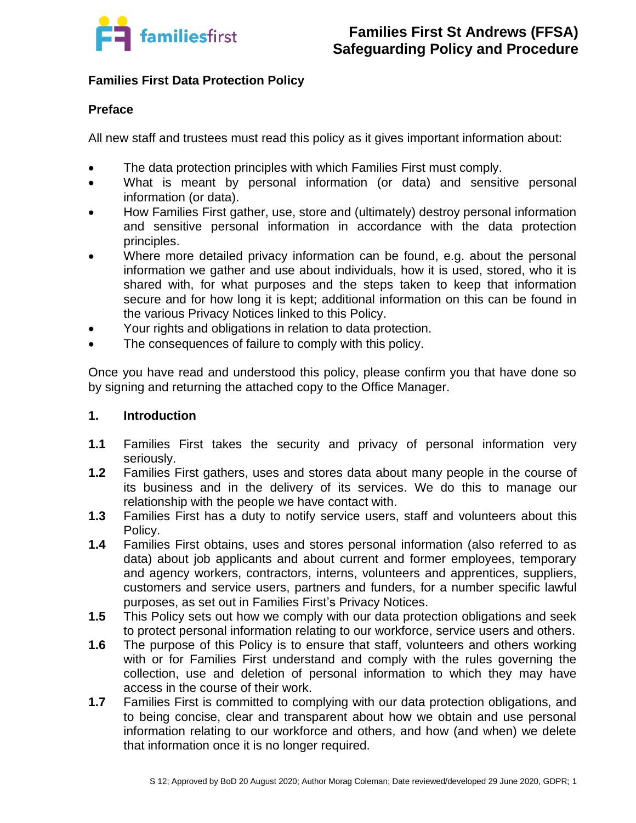

# **Families First Data Protection Policy**

### **Preface**

All new staff and trustees must read this policy as it gives important information about:

- The data protection principles with which Families First must comply.
- What is meant by personal information (or data) and sensitive personal information (or data).
- How Families First gather, use, store and (ultimately) destroy personal information and sensitive personal information in accordance with the data protection principles.
- Where more detailed privacy information can be found, e.g. about the personal information we gather and use about individuals, how it is used, stored, who it is shared with, for what purposes and the steps taken to keep that information secure and for how long it is kept; additional information on this can be found in the various Privacy Notices linked to this Policy.
- Your rights and obligations in relation to data protection.
- The consequences of failure to comply with this policy.

Once you have read and understood this policy, please confirm you that have done so by signing and returning the attached copy to the Office Manager.

### **1. Introduction**

- **1.1** Families First takes the security and privacy of personal information very seriously.
- **1.2** Families First gathers, uses and stores data about many people in the course of its business and in the delivery of its services. We do this to manage our relationship with the people we have contact with.
- **1.3** Families First has a duty to notify service users, staff and volunteers about this Policy.
- **1.4** Families First obtains, uses and stores personal information (also referred to as data) about job applicants and about current and former employees, temporary and agency workers, contractors, interns, volunteers and apprentices, suppliers, customers and service users, partners and funders, for a number specific lawful purposes, as set out in Families First's Privacy Notices.
- **1.5** This Policy sets out how we comply with our data protection obligations and seek to protect personal information relating to our workforce, service users and others.
- **1.6** The purpose of this Policy is to ensure that staff, volunteers and others working with or for Families First understand and comply with the rules governing the collection, use and deletion of personal information to which they may have access in the course of their work.
- **1.7** Families First is committed to complying with our data protection obligations, and to being concise, clear and transparent about how we obtain and use personal information relating to our workforce and others, and how (and when) we delete that information once it is no longer required.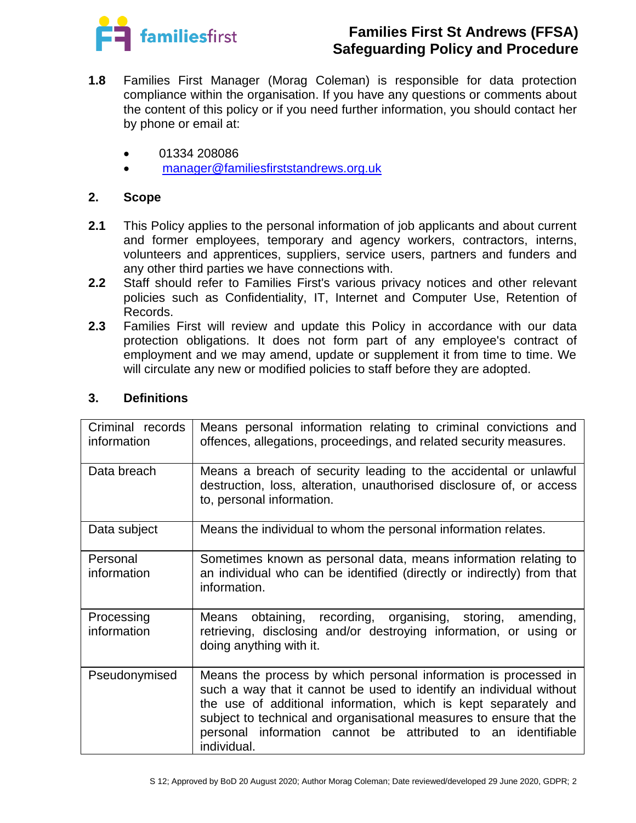

- **1.8** Families First Manager (Morag Coleman) is responsible for data protection compliance within the organisation. If you have any questions or comments about the content of this policy or if you need further information, you should contact her by phone or email at:
	- 01334 208086
	- [manager@familiesfirststandrews.org.uk](mailto:manager@familiesfirststandrews.org.uk)

### **2. Scope**

- **2.1** This Policy applies to the personal information of job applicants and about current and former employees, temporary and agency workers, contractors, interns, volunteers and apprentices, suppliers, service users, partners and funders and any other third parties we have connections with.
- **2.2** Staff should refer to Families First's various privacy notices and other relevant policies such as Confidentiality, IT, Internet and Computer Use, Retention of Records.
- **2.3** Families First will review and update this Policy in accordance with our data protection obligations. It does not form part of any employee's contract of employment and we may amend, update or supplement it from time to time. We will circulate any new or modified policies to staff before they are adopted.

| Criminal records<br>information | Means personal information relating to criminal convictions and<br>offences, allegations, proceedings, and related security measures.                                                                                                                                                                                                                           |
|---------------------------------|-----------------------------------------------------------------------------------------------------------------------------------------------------------------------------------------------------------------------------------------------------------------------------------------------------------------------------------------------------------------|
| Data breach                     | Means a breach of security leading to the accidental or unlawful<br>destruction, loss, alteration, unauthorised disclosure of, or access<br>to, personal information.                                                                                                                                                                                           |
| Data subject                    | Means the individual to whom the personal information relates.                                                                                                                                                                                                                                                                                                  |
| Personal<br>information         | Sometimes known as personal data, means information relating to<br>an individual who can be identified (directly or indirectly) from that<br>information.                                                                                                                                                                                                       |
| Processing<br>information       | Means obtaining, recording, organising, storing,<br>amending,<br>retrieving, disclosing and/or destroying information, or using or<br>doing anything with it.                                                                                                                                                                                                   |
| Pseudonymised                   | Means the process by which personal information is processed in<br>such a way that it cannot be used to identify an individual without<br>the use of additional information, which is kept separately and<br>subject to technical and organisational measures to ensure that the<br>personal information cannot be attributed to an identifiable<br>individual. |

### **3. Definitions**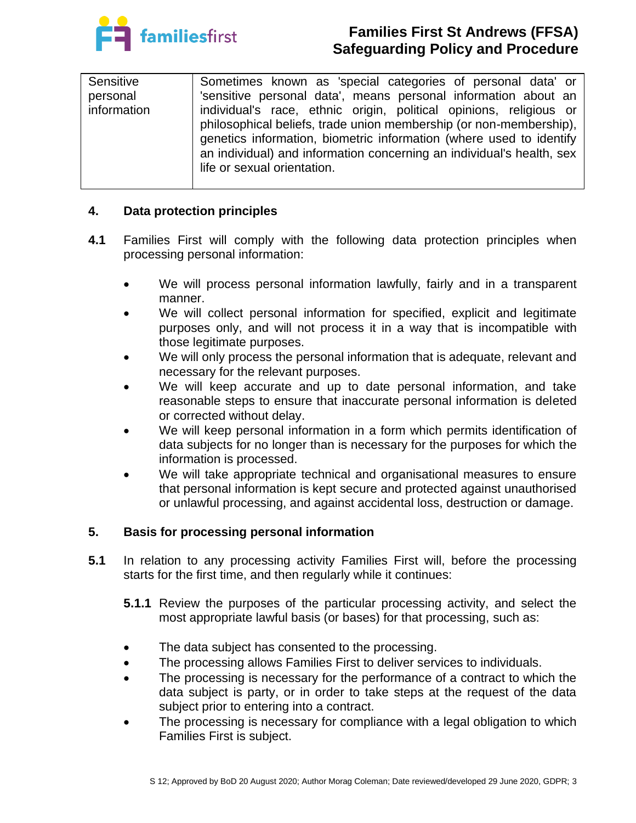

| Sensitive   | Sometimes known as 'special categories of personal data' or           |
|-------------|-----------------------------------------------------------------------|
| personal    | 'sensitive personal data', means personal information about an        |
| information | individual's race, ethnic origin, political opinions, religious or    |
|             | philosophical beliefs, trade union membership (or non-membership),    |
|             | genetics information, biometric information (where used to identify   |
|             | an individual) and information concerning an individual's health, sex |
|             | life or sexual orientation.                                           |
|             |                                                                       |

# **4. Data protection principles**

- **4.1** Families First will comply with the following data protection principles when processing personal information:
	- We will process personal information lawfully, fairly and in a transparent manner.
	- We will collect personal information for specified, explicit and legitimate purposes only, and will not process it in a way that is incompatible with those legitimate purposes.
	- We will only process the personal information that is adequate, relevant and necessary for the relevant purposes.
	- We will keep accurate and up to date personal information, and take reasonable steps to ensure that inaccurate personal information is deleted or corrected without delay.
	- We will keep personal information in a form which permits identification of data subjects for no longer than is necessary for the purposes for which the information is processed.
	- We will take appropriate technical and organisational measures to ensure that personal information is kept secure and protected against unauthorised or unlawful processing, and against accidental loss, destruction or damage.

### **5. Basis for processing personal information**

- **5.1** In relation to any processing activity Families First will, before the processing starts for the first time, and then regularly while it continues:
	- **5.1.1** Review the purposes of the particular processing activity, and select the most appropriate lawful basis (or bases) for that processing, such as:
	- The data subject has consented to the processing.
	- The processing allows Families First to deliver services to individuals.
	- The processing is necessary for the performance of a contract to which the data subject is party, or in order to take steps at the request of the data subject prior to entering into a contract.
	- The processing is necessary for compliance with a legal obligation to which Families First is subject.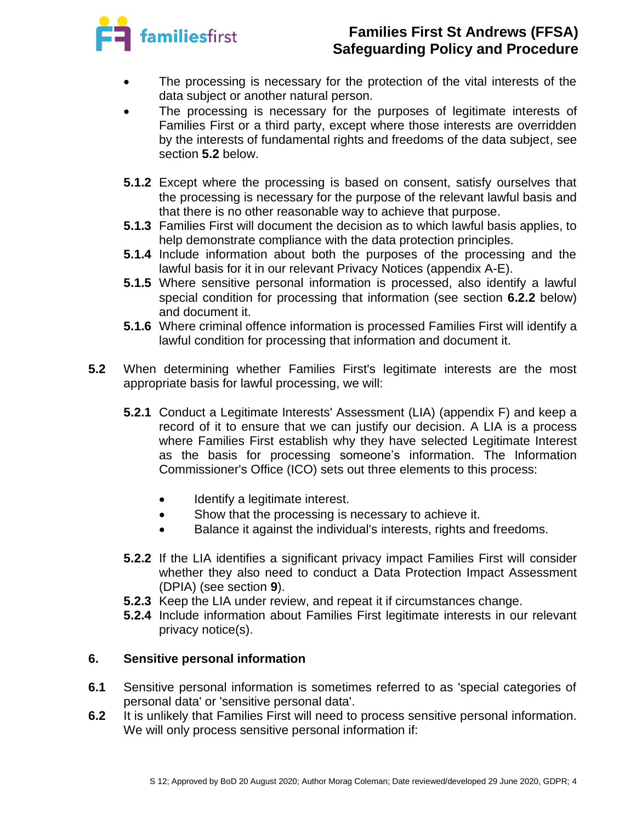

- The processing is necessary for the protection of the vital interests of the data subject or another natural person.
- The processing is necessary for the purposes of legitimate interests of Families First or a third party, except where those interests are overridden by the interests of fundamental rights and freedoms of the data subject, see section **5.2** below.
- **5.1.2** Except where the processing is based on consent, satisfy ourselves that the processing is necessary for the purpose of the relevant lawful basis and that there is no other reasonable way to achieve that purpose.
- **5.1.3** Families First will document the decision as to which lawful basis applies, to help demonstrate compliance with the data protection principles.
- **5.1.4** Include information about both the purposes of the processing and the lawful basis for it in our relevant Privacy Notices (appendix A-E).
- **5.1.5** Where sensitive personal information is processed, also identify a lawful special condition for processing that information (see section **6.2.2** below) and document it.
- **5.1.6** Where criminal offence information is processed Families First will identify a lawful condition for processing that information and document it.
- **5.2** When determining whether Families First's legitimate interests are the most appropriate basis for lawful processing, we will:
	- **5.2.1** Conduct a Legitimate Interests' Assessment (LIA) (appendix F) and keep a record of it to ensure that we can justify our decision. A LIA is a process where Families First establish why they have selected Legitimate Interest as the basis for processing someone's information. The Information Commissioner's Office (ICO) sets out three elements to this process:
		- Identify a legitimate interest.
		- Show that the processing is necessary to achieve it.
		- Balance it against the individual's interests, rights and freedoms.
	- **5.2.2** If the LIA identifies a significant privacy impact Families First will consider whether they also need to conduct a Data Protection Impact Assessment (DPIA) (see section **9**).
	- **5.2.3** Keep the LIA under review, and repeat it if circumstances change.
	- **5.2.4** Include information about Families First legitimate interests in our relevant privacy notice(s).

# **6. Sensitive personal information**

- **6.1** Sensitive personal information is sometimes referred to as 'special categories of personal data' or 'sensitive personal data'.
- **6.2** It is unlikely that Families First will need to process sensitive personal information. We will only process sensitive personal information if: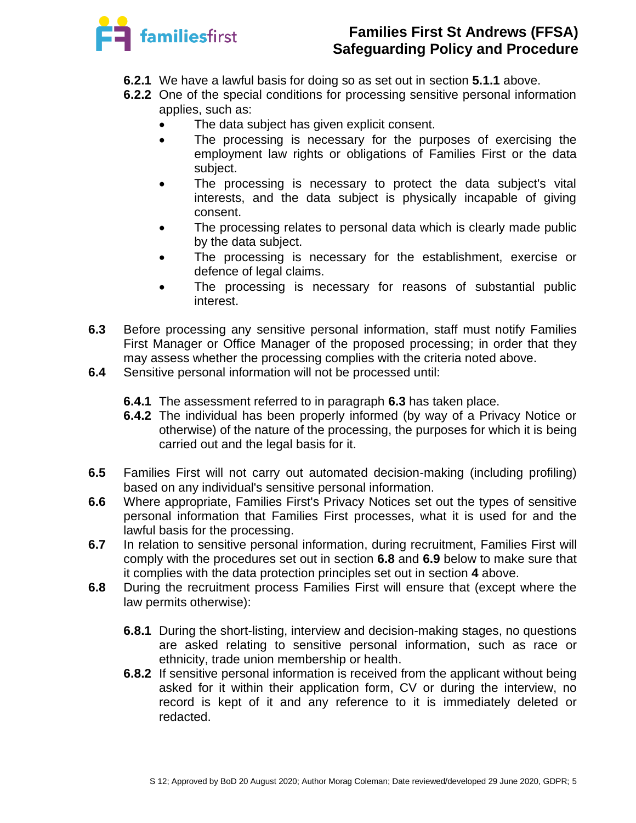

- **6.2.1** We have a lawful basis for doing so as set out in section **5.1.1** above.
- **6.2.2** One of the special conditions for processing sensitive personal information applies, such as:
	- The data subject has given explicit consent.
	- The processing is necessary for the purposes of exercising the employment law rights or obligations of Families First or the data subject.
	- The processing is necessary to protect the data subject's vital interests, and the data subject is physically incapable of giving consent.
	- The processing relates to personal data which is clearly made public by the data subject.
	- The processing is necessary for the establishment, exercise or defence of legal claims.
	- The processing is necessary for reasons of substantial public interest.
- **6.3** Before processing any sensitive personal information, staff must notify Families First Manager or Office Manager of the proposed processing; in order that they may assess whether the processing complies with the criteria noted above.
- **6.4** Sensitive personal information will not be processed until:
	- **6.4.1** The assessment referred to in paragraph **6.3** has taken place.
	- **6.4.2** The individual has been properly informed (by way of a Privacy Notice or otherwise) of the nature of the processing, the purposes for which it is being carried out and the legal basis for it.
- **6.5** Families First will not carry out automated decision-making (including profiling) based on any individual's sensitive personal information.
- **6.6** Where appropriate, Families First's Privacy Notices set out the types of sensitive personal information that Families First processes, what it is used for and the lawful basis for the processing.
- **6.7** In relation to sensitive personal information, during recruitment, Families First will comply with the procedures set out in section **6.8** and **6.9** below to make sure that it complies with the data protection principles set out in section **4** above.
- **6.8** During the recruitment process Families First will ensure that (except where the law permits otherwise):
	- **6.8.1** During the short-listing, interview and decision-making stages, no questions are asked relating to sensitive personal information, such as race or ethnicity, trade union membership or health.
	- **6.8.2** If sensitive personal information is received from the applicant without being asked for it within their application form, CV or during the interview, no record is kept of it and any reference to it is immediately deleted or redacted.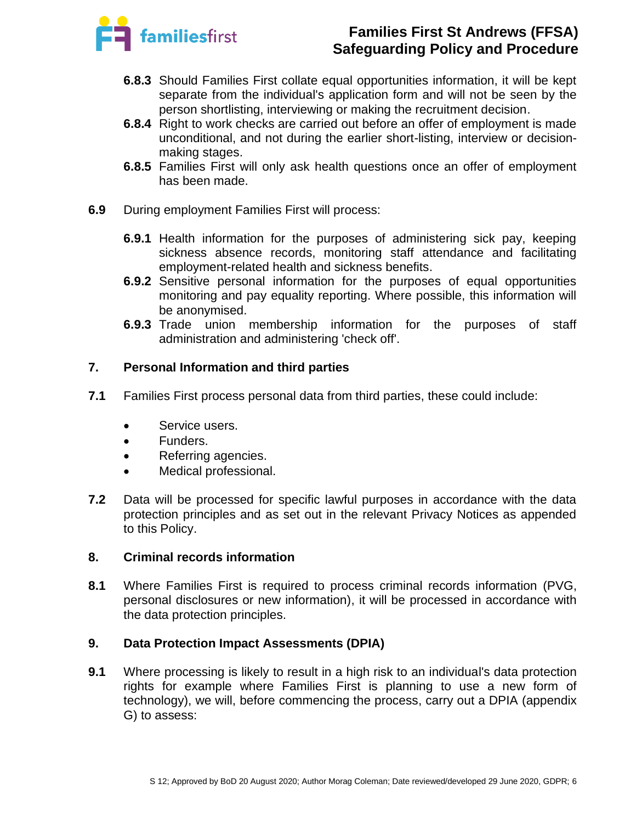

- **6.8.3** Should Families First collate equal opportunities information, it will be kept separate from the individual's application form and will not be seen by the person shortlisting, interviewing or making the recruitment decision.
- **6.8.4** Right to work checks are carried out before an offer of employment is made unconditional, and not during the earlier short-listing, interview or decisionmaking stages.
- **6.8.5** Families First will only ask health questions once an offer of employment has been made.
- **6.9** During employment Families First will process:
	- **6.9.1** Health information for the purposes of administering sick pay, keeping sickness absence records, monitoring staff attendance and facilitating employment-related health and sickness benefits.
	- **6.9.2** Sensitive personal information for the purposes of equal opportunities monitoring and pay equality reporting. Where possible, this information will be anonymised.
	- **6.9.3** Trade union membership information for the purposes of staff administration and administering 'check off'.

# **7. Personal Information and third parties**

- **7.1** Families First process personal data from third parties, these could include:
	- Service users.
	- Funders.
	- Referring agencies.
	- Medical professional.
- **7.2** Data will be processed for specific lawful purposes in accordance with the data protection principles and as set out in the relevant Privacy Notices as appended to this Policy.

### **8. Criminal records information**

**8.1** Where Families First is required to process criminal records information (PVG, personal disclosures or new information), it will be processed in accordance with the data protection principles.

### **9. Data Protection Impact Assessments (DPIA)**

**9.1** Where processing is likely to result in a high risk to an individual's data protection rights for example where Families First is planning to use a new form of technology), we will, before commencing the process, carry out a DPIA (appendix G) to assess: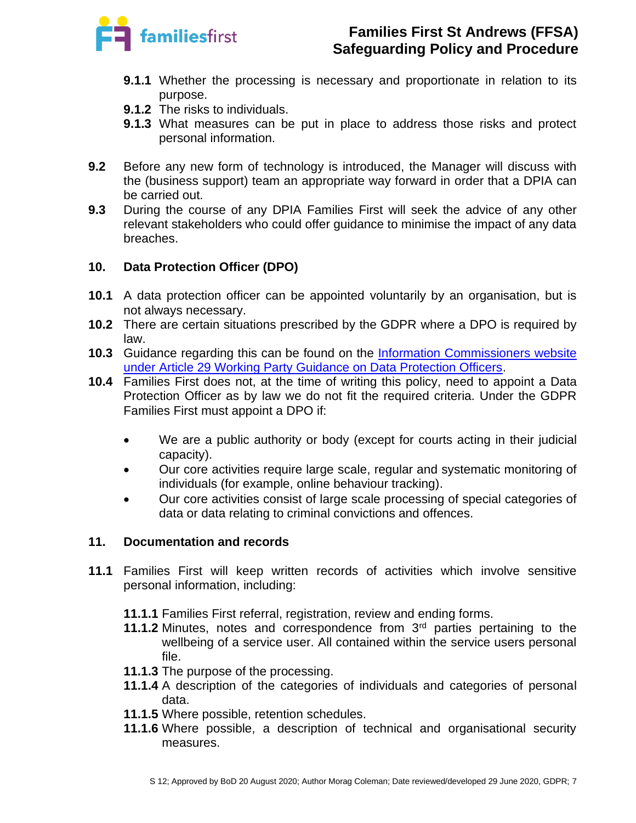

- **9.1.1** Whether the processing is necessary and proportionate in relation to its purpose.
- **9.1.2** The risks to individuals.
- **9.1.3** What measures can be put in place to address those risks and protect personal information.
- **9.2** Before any new form of technology is introduced, the Manager will discuss with the (business support) team an appropriate way forward in order that a DPIA can be carried out.
- **9.3** During the course of any DPIA Families First will seek the advice of any other relevant stakeholders who could offer guidance to minimise the impact of any data breaches.

### **10. Data Protection Officer (DPO)**

- **10.1** A data protection officer can be appointed voluntarily by an organisation, but is not always necessary.
- **10.2** There are certain situations prescribed by the GDPR where a DPO is required by law.
- **10.3** Guidance regarding this can be found on the [Information Commissioners website](https://ico.org.uk/for-organisations/guide-to-data-protection/guide-to-the-general-data-protection-regulation-gdpr/accountability-and-governance/data-protection-officers/)  under [Article 29 Working Party Guidance on Data Protection Officers.](https://ico.org.uk/for-organisations/guide-to-data-protection/guide-to-the-general-data-protection-regulation-gdpr/accountability-and-governance/data-protection-officers/)
- **10.4** Families First does not, at the time of writing this policy, need to appoint a Data Protection Officer as by law we do not fit the required criteria. Under the GDPR Families First must appoint a DPO if:
	- We are a public authority or body (except for courts acting in their judicial capacity).
	- Our core activities require large scale, regular and systematic monitoring of individuals (for example, online behaviour tracking).
	- Our core activities consist of large scale processing of special categories of data or data relating to criminal convictions and offences.

### **11. Documentation and records**

- **11.1** Families First will keep written records of activities which involve sensitive personal information, including:
	- **11.1.1** Families First referral, registration, review and ending forms.
	- **11.1.2** Minutes, notes and correspondence from 3<sup>rd</sup> parties pertaining to the wellbeing of a service user. All contained within the service users personal file.
	- **11.1.3** The purpose of the processing.
	- **11.1.4** A description of the categories of individuals and categories of personal data.
	- **11.1.5** Where possible, retention schedules.
	- **11.1.6** Where possible, a description of technical and organisational security measures.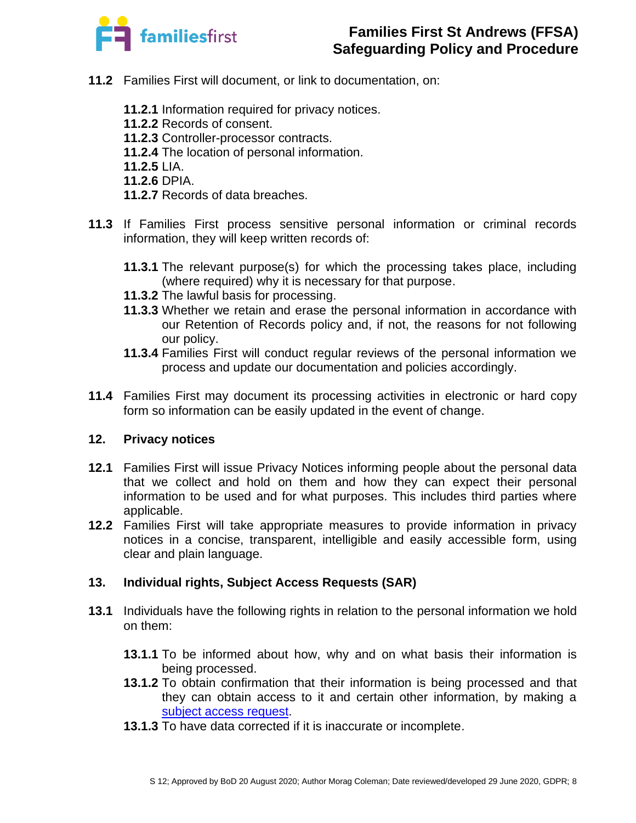

- **11.2** Families First will document, or link to documentation, on:
	- **11.2.1** Information required for privacy notices.
	- **11.2.2** Records of consent.
	- **11.2.3** Controller-processor contracts.
	- **11.2.4** The location of personal information.
	- **11.2.5** LIA.
	- **11.2.6** DPIA.
	- **11.2.7** Records of data breaches.
- **11.3** If Families First process sensitive personal information or criminal records information, they will keep written records of:
	- **11.3.1** The relevant purpose(s) for which the processing takes place, including (where required) why it is necessary for that purpose.
	- **11.3.2** The lawful basis for processing.
	- **11.3.3** Whether we retain and erase the personal information in accordance with our Retention of Records policy and, if not, the reasons for not following our policy.
	- **11.3.4** Families First will conduct regular reviews of the personal information we process and update our documentation and policies accordingly.
- **11.4** Families First may document its processing activities in electronic or hard copy form so information can be easily updated in the event of change.

### **12. Privacy notices**

- **12.1** Families First will issue Privacy Notices informing people about the personal data that we collect and hold on them and how they can expect their personal information to be used and for what purposes. This includes third parties where applicable.
- **12.2** Families First will take appropriate measures to provide information in privacy notices in a concise, transparent, intelligible and easily accessible form, using clear and plain language.

### **13. Individual rights, Subject Access Requests (SAR)**

- **13.1** Individuals have the following rights in relation to the personal information we hold on them:
	- **13.1.1** To be informed about how, why and on what basis their information is being processed.
	- **13.1.2** To obtain confirmation that their information is being processed and that they can obtain access to it and certain other information, by making a [subject access request.](https://ico.org.uk/for-organisations/guide-to-data-protection/guide-to-the-general-data-protection-regulation-gdpr/individual-rights/right-of-access/)
	- **13.1.3** To have data corrected if it is inaccurate or incomplete.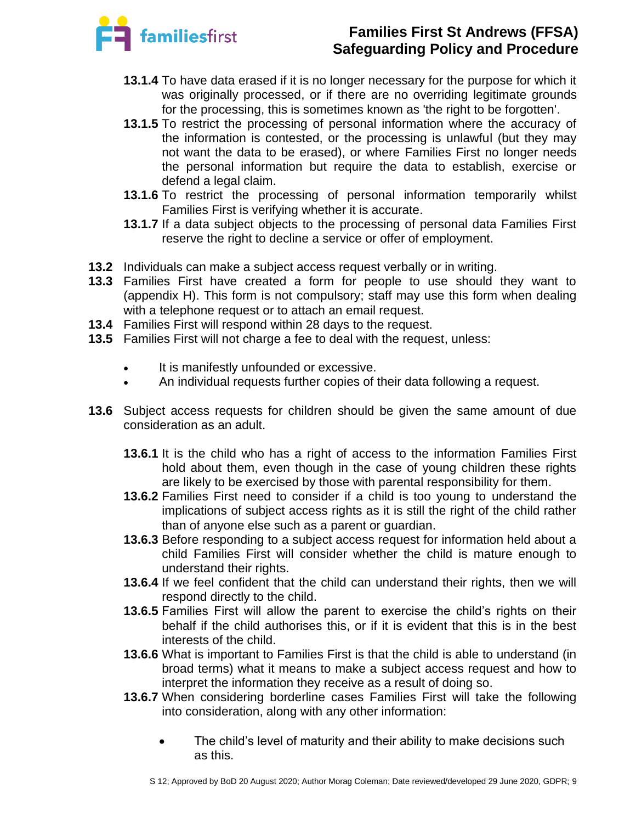

- **13.1.4** To have data erased if it is no longer necessary for the purpose for which it was originally processed, or if there are no overriding legitimate grounds for the processing, this is sometimes known as 'the right to be forgotten'.
- **13.1.5** To restrict the processing of personal information where the accuracy of the information is contested, or the processing is unlawful (but they may not want the data to be erased), or where Families First no longer needs the personal information but require the data to establish, exercise or defend a legal claim.
- **13.1.6** To restrict the processing of personal information temporarily whilst Families First is verifying whether it is accurate.
- **13.1.7** If a data subject objects to the processing of personal data Families First reserve the right to decline a service or offer of employment.
- **13.2** Individuals can make a subject access request verbally or in writing.
- **13.3** Families First have created a form for people to use should they want to (appendix H). This form is not compulsory; staff may use this form when dealing with a telephone request or to attach an email request.
- **13.4** Families First will respond within 28 days to the request.
- **13.5** Families First will not charge a fee to deal with the request, unless:
	- It is manifestly unfounded or excessive.
	- An individual requests further copies of their data following a request.
- **13.6** Subject access requests for children should be given the same amount of due consideration as an adult.
	- **13.6.1** It is the child who has a right of access to the information Families First hold about them, even though in the case of young children these rights are likely to be exercised by those with parental responsibility for them.
	- **13.6.2** Families First need to consider if a child is too young to understand the implications of subject access rights as it is still the right of the child rather than of anyone else such as a parent or guardian.
	- **13.6.3** Before responding to a subject access request for information held about a child Families First will consider whether the child is mature enough to understand their rights.
	- **13.6.4** If we feel confident that the child can understand their rights, then we will respond directly to the child.
	- **13.6.5** Families First will allow the parent to exercise the child's rights on their behalf if the child authorises this, or if it is evident that this is in the best interests of the child.
	- **13.6.6** What is important to Families First is that the child is able to understand (in broad terms) what it means to make a subject access request and how to interpret the information they receive as a result of doing so.
	- **13.6.7** When considering borderline cases Families First will take the following into consideration, along with any other information:
		- The child's level of maturity and their ability to make decisions such as this.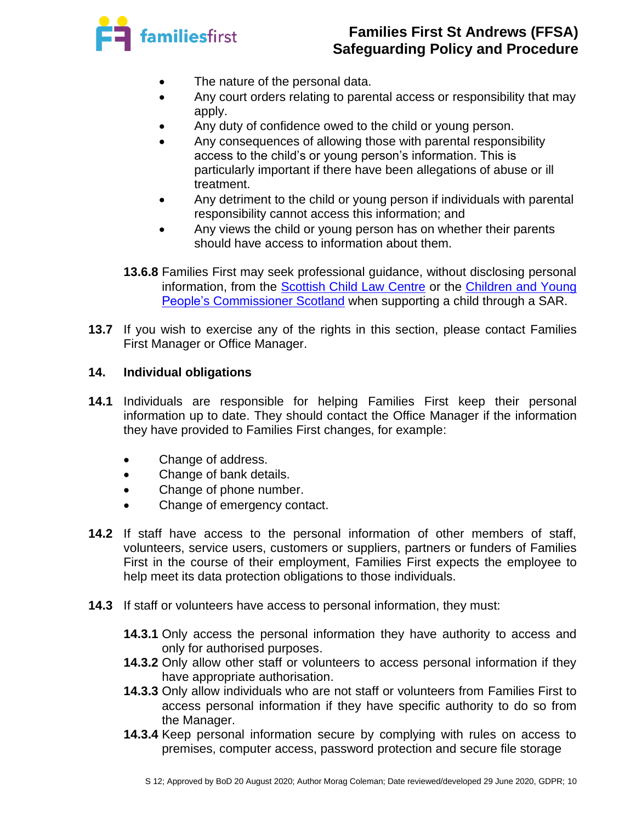

- The nature of the personal data.
- Any court orders relating to parental access or responsibility that may apply.
- Any duty of confidence owed to the child or young person.
- Any consequences of allowing those with parental responsibility access to the child's or young person's information. This is particularly important if there have been allegations of abuse or ill treatment.
- Any detriment to the child or young person if individuals with parental responsibility cannot access this information; and
- Any views the child or young person has on whether their parents should have access to information about them.
- **13.6.8** Families First may seek professional guidance, without disclosing personal information, from the [Scottish Child Law Centre](http://www.sclc.org.uk/) or the Children [and Young](https://www.cypcs.org.uk/)  [People's Commissioner](https://www.cypcs.org.uk/) Scotland when supporting a child through a SAR.
- **13.7** If you wish to exercise any of the rights in this section, please contact Families First Manager or Office Manager.

### **14. Individual obligations**

- **14.1** Individuals are responsible for helping Families First keep their personal information up to date. They should contact the Office Manager if the information they have provided to Families First changes, for example:
	- Change of address.
	- Change of bank details.
	- Change of phone number.
	- Change of emergency contact.
- **14.2** If staff have access to the personal information of other members of staff, volunteers, service users, customers or suppliers, partners or funders of Families First in the course of their employment, Families First expects the employee to help meet its data protection obligations to those individuals.
- **14.3** If staff or volunteers have access to personal information, they must:
	- **14.3.1** Only access the personal information they have authority to access and only for authorised purposes.
	- **14.3.2** Only allow other staff or volunteers to access personal information if they have appropriate authorisation.
	- **14.3.3** Only allow individuals who are not staff or volunteers from Families First to access personal information if they have specific authority to do so from the Manager.
	- **14.3.4** Keep personal information secure by complying with rules on access to premises, computer access, password protection and secure file storage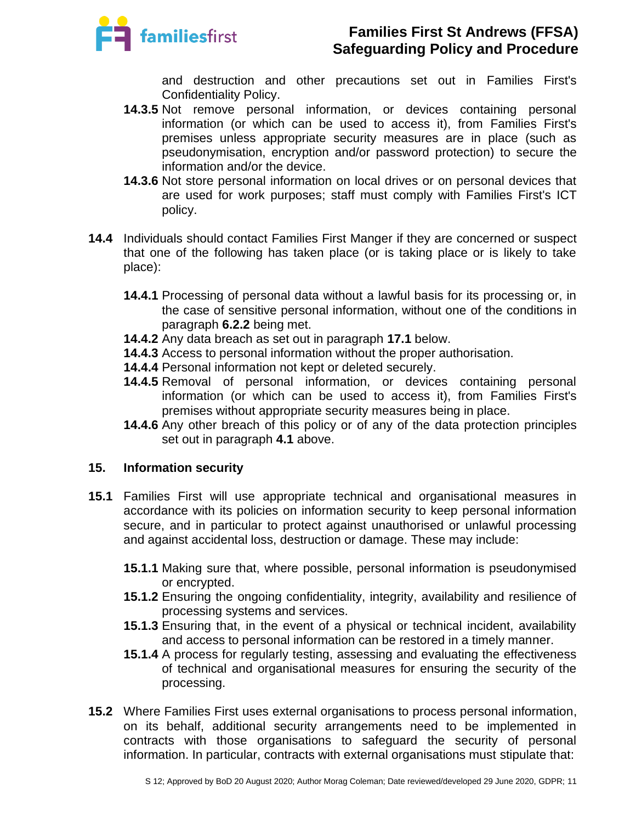

and destruction and other precautions set out in Families First's Confidentiality Policy.

- **14.3.5** Not remove personal information, or devices containing personal information (or which can be used to access it), from Families First's premises unless appropriate security measures are in place (such as pseudonymisation, encryption and/or password protection) to secure the information and/or the device.
- **14.3.6** Not store personal information on local drives or on personal devices that are used for work purposes; staff must comply with Families First's ICT policy.
- **14.4** Individuals should contact Families First Manger if they are concerned or suspect that one of the following has taken place (or is taking place or is likely to take place):
	- **14.4.1** Processing of personal data without a lawful basis for its processing or, in the case of sensitive personal information, without one of the conditions in paragraph **6.2.2** being met.
	- **14.4.2** Any data breach as set out in paragraph **17.1** below.
	- **14.4.3** Access to personal information without the proper authorisation.
	- **14.4.4** Personal information not kept or deleted securely.
	- **14.4.5** Removal of personal information, or devices containing personal information (or which can be used to access it), from Families First's premises without appropriate security measures being in place.
	- **14.4.6** Any other breach of this policy or of any of the data protection principles set out in paragraph **4.1** above.

### **15. Information security**

- **15.1** Families First will use appropriate technical and organisational measures in accordance with its policies on information security to keep personal information secure, and in particular to protect against unauthorised or unlawful processing and against accidental loss, destruction or damage. These may include:
	- **15.1.1** Making sure that, where possible, personal information is pseudonymised or encrypted.
	- **15.1.2** Ensuring the ongoing confidentiality, integrity, availability and resilience of processing systems and services.
	- **15.1.3** Ensuring that, in the event of a physical or technical incident, availability and access to personal information can be restored in a timely manner.
	- **15.1.4** A process for regularly testing, assessing and evaluating the effectiveness of technical and organisational measures for ensuring the security of the processing.
- **15.2** Where Families First uses external organisations to process personal information, on its behalf, additional security arrangements need to be implemented in contracts with those organisations to safeguard the security of personal information. In particular, contracts with external organisations must stipulate that: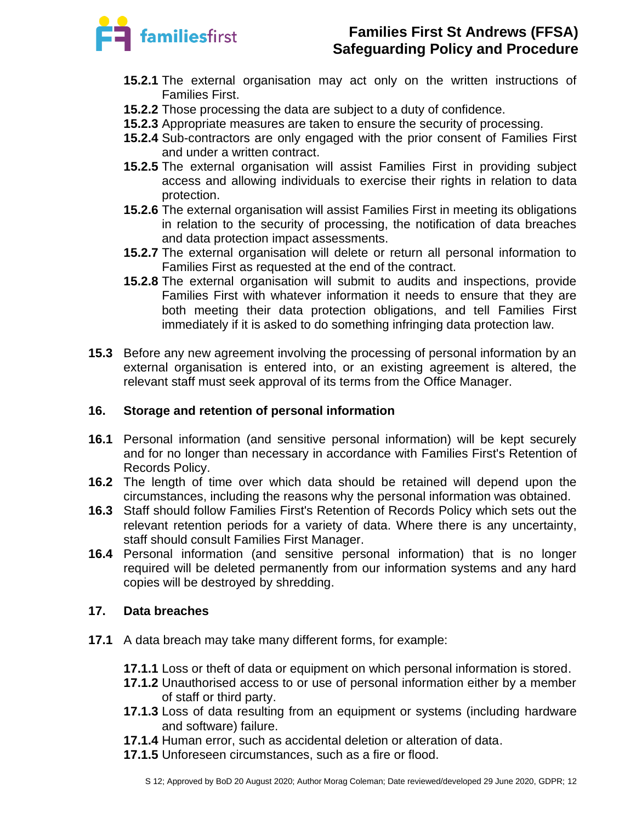

- **15.2.1** The external organisation may act only on the written instructions of Families First.
- **15.2.2** Those processing the data are subject to a duty of confidence.
- **15.2.3** Appropriate measures are taken to ensure the security of processing.
- **15.2.4** Sub-contractors are only engaged with the prior consent of Families First and under a written contract.
- **15.2.5** The external organisation will assist Families First in providing subject access and allowing individuals to exercise their rights in relation to data protection.
- **15.2.6** The external organisation will assist Families First in meeting its obligations in relation to the security of processing, the notification of data breaches and data protection impact assessments.
- **15.2.7** The external organisation will delete or return all personal information to Families First as requested at the end of the contract.
- **15.2.8** The external organisation will submit to audits and inspections, provide Families First with whatever information it needs to ensure that they are both meeting their data protection obligations, and tell Families First immediately if it is asked to do something infringing data protection law.
- **15.3** Before any new agreement involving the processing of personal information by an external organisation is entered into, or an existing agreement is altered, the relevant staff must seek approval of its terms from the Office Manager.

# **16. Storage and retention of personal information**

- **16.1** Personal information (and sensitive personal information) will be kept securely and for no longer than necessary in accordance with Families First's Retention of Records Policy.
- **16.2** The length of time over which data should be retained will depend upon the circumstances, including the reasons why the personal information was obtained.
- **16.3** Staff should follow Families First's Retention of Records Policy which sets out the relevant retention periods for a variety of data. Where there is any uncertainty, staff should consult Families First Manager.
- **16.4** Personal information (and sensitive personal information) that is no longer required will be deleted permanently from our information systems and any hard copies will be destroyed by shredding.

### **17. Data breaches**

- **17.1** A data breach may take many different forms, for example:
	- **17.1.1** Loss or theft of data or equipment on which personal information is stored.
	- **17.1.2** Unauthorised access to or use of personal information either by a member of staff or third party.
	- **17.1.3** Loss of data resulting from an equipment or systems (including hardware and software) failure.
	- **17.1.4** Human error, such as accidental deletion or alteration of data.
	- **17.1.5** Unforeseen circumstances, such as a fire or flood.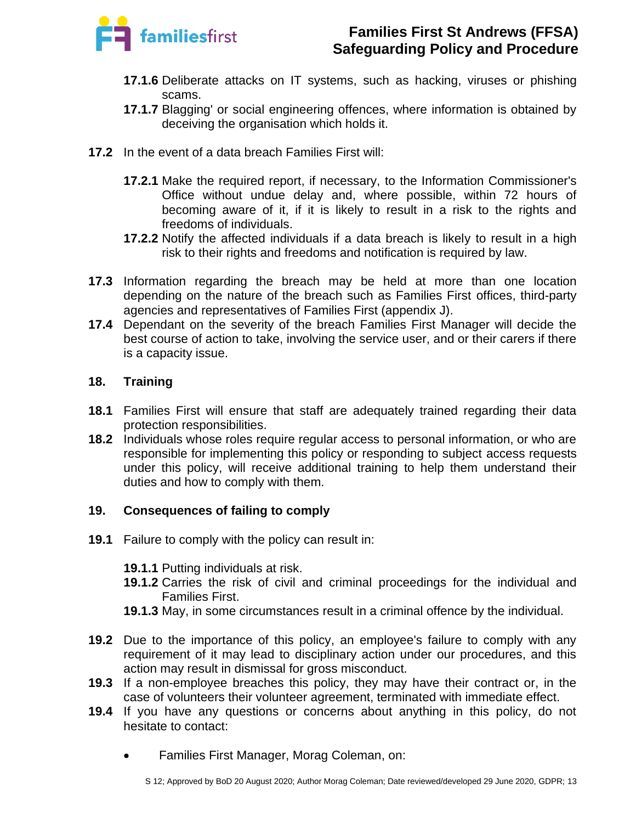

- **17.1.6** Deliberate attacks on IT systems, such as hacking, viruses or phishing scams.
- **17.1.7** Blagging' or social engineering offences, where information is obtained by deceiving the organisation which holds it.
- **17.2** In the event of a data breach Families First will:
	- **17.2.1** Make the required report, if necessary, to the Information Commissioner's Office without undue delay and, where possible, within 72 hours of becoming aware of it, if it is likely to result in a risk to the rights and freedoms of individuals.
	- **17.2.2** Notify the affected individuals if a data breach is likely to result in a high risk to their rights and freedoms and notification is required by law.
- **17.3** Information regarding the breach may be held at more than one location depending on the nature of the breach such as Families First offices, third-party agencies and representatives of Families First (appendix J).
- **17.4** Dependant on the severity of the breach Families First Manager will decide the best course of action to take, involving the service user, and or their carers if there is a capacity issue.

# **18. Training**

- **18.1** Families First will ensure that staff are adequately trained regarding their data protection responsibilities.
- **18.2** Individuals whose roles require regular access to personal information, or who are responsible for implementing this policy or responding to subject access requests under this policy, will receive additional training to help them understand their duties and how to comply with them.

# **19. Consequences of failing to comply**

- **19.1** Failure to comply with the policy can result in:
	- **19.1.1** Putting individuals at risk.
	- **19.1.2** Carries the risk of civil and criminal proceedings for the individual and Families First.
	- **19.1.3** May, in some circumstances result in a criminal offence by the individual.
- **19.2** Due to the importance of this policy, an employee's failure to comply with any requirement of it may lead to disciplinary action under our procedures, and this action may result in dismissal for gross misconduct.
- **19.3** If a non-employee breaches this policy, they may have their contract or, in the case of volunteers their volunteer agreement, terminated with immediate effect.
- **19.4** If you have any questions or concerns about anything in this policy, do not hesitate to contact:
	- Families First Manager, Morag Coleman, on: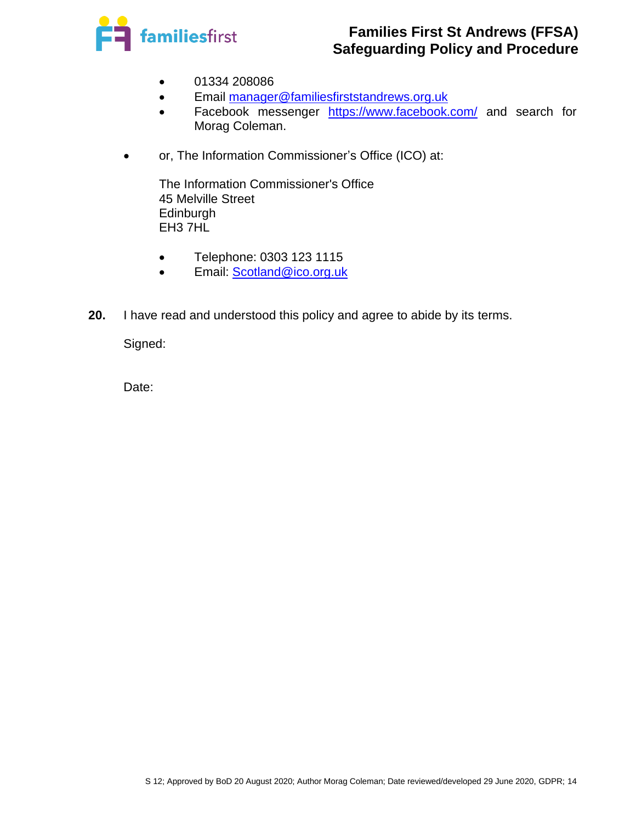

- 01334 208086
- Email [manager@familiesfirststandrews.org.uk](mailto:manager@familiesfirststandrews.org.uk)
- Facebook messenger <https://www.facebook.com/> and search for Morag Coleman.
- or, The Information Commissioner's Office (ICO) at:

The Information Commissioner's Office 45 Melville Street **Edinburgh** EH3 7HL

- Telephone: 0303 123 1115
- Email: [Scotland@ico.org.uk](mailto:Scotland@ico.org.uk)
- **20.** I have read and understood this policy and agree to abide by its terms.

Signed:

Date: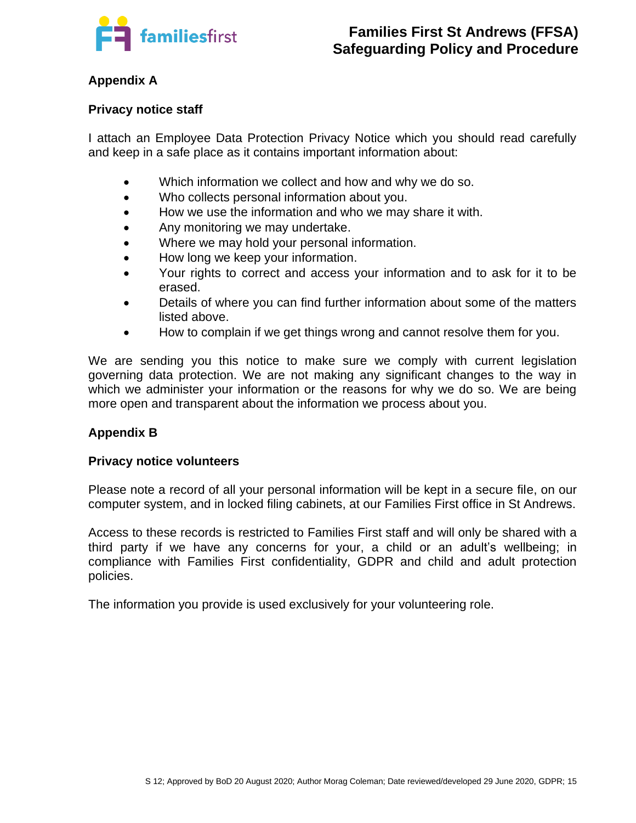

# **Appendix A**

#### **Privacy notice staff**

I attach an Employee Data Protection Privacy Notice which you should read carefully and keep in a safe place as it contains important information about:

- Which information we collect and how and why we do so.
- Who collects personal information about you.
- How we use the information and who we may share it with.
- Any monitoring we may undertake.
- Where we may hold your personal information.
- How long we keep your information.
- Your rights to correct and access your information and to ask for it to be erased.
- Details of where you can find further information about some of the matters listed above.
- How to complain if we get things wrong and cannot resolve them for you.

We are sending you this notice to make sure we comply with current legislation governing data protection. We are not making any significant changes to the way in which we administer your information or the reasons for why we do so. We are being more open and transparent about the information we process about you.

### **Appendix B**

#### **Privacy notice volunteers**

Please note a record of all your personal information will be kept in a secure file, on our computer system, and in locked filing cabinets, at our Families First office in St Andrews.

Access to these records is restricted to Families First staff and will only be shared with a third party if we have any concerns for your, a child or an adult's wellbeing; in compliance with Families First confidentiality, GDPR and child and adult protection policies.

The information you provide is used exclusively for your volunteering role.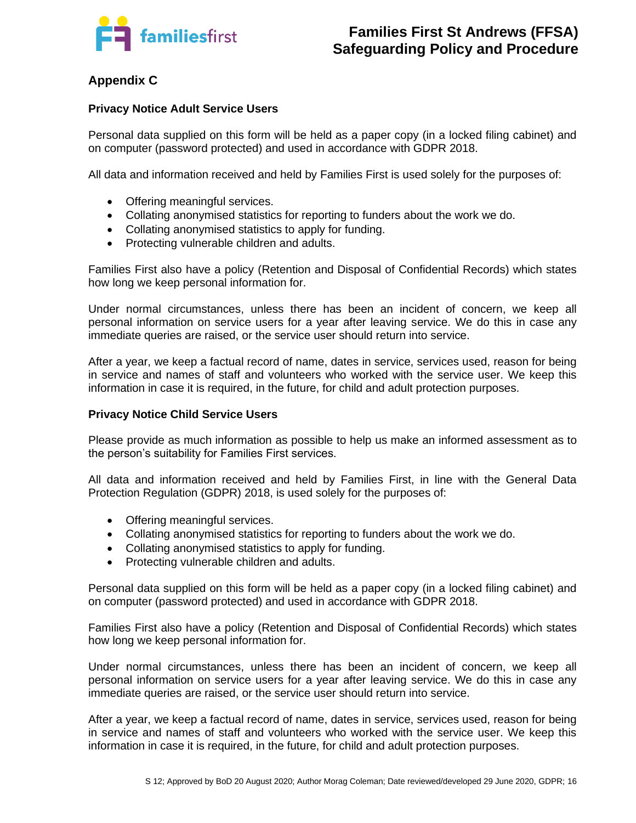

# **Appendix C**

#### **Privacy Notice Adult Service Users**

Personal data supplied on this form will be held as a paper copy (in a locked filing cabinet) and on computer (password protected) and used in accordance with GDPR 2018.

All data and information received and held by Families First is used solely for the purposes of:

- Offering meaningful services.
- Collating anonymised statistics for reporting to funders about the work we do.
- Collating anonymised statistics to apply for funding.
- Protecting vulnerable children and adults.

Families First also have a policy (Retention and Disposal of Confidential Records) which states how long we keep personal information for.

Under normal circumstances, unless there has been an incident of concern, we keep all personal information on service users for a year after leaving service. We do this in case any immediate queries are raised, or the service user should return into service.

After a year, we keep a factual record of name, dates in service, services used, reason for being in service and names of staff and volunteers who worked with the service user. We keep this information in case it is required, in the future, for child and adult protection purposes.

#### **Privacy Notice Child Service Users**

Please provide as much information as possible to help us make an informed assessment as to the person's suitability for Families First services.

All data and information received and held by Families First, in line with the General Data Protection Regulation (GDPR) 2018, is used solely for the purposes of:

- Offering meaningful services.
- Collating anonymised statistics for reporting to funders about the work we do.
- Collating anonymised statistics to apply for funding.
- Protecting vulnerable children and adults.

Personal data supplied on this form will be held as a paper copy (in a locked filing cabinet) and on computer (password protected) and used in accordance with GDPR 2018.

Families First also have a policy (Retention and Disposal of Confidential Records) which states how long we keep personal information for.

Under normal circumstances, unless there has been an incident of concern, we keep all personal information on service users for a year after leaving service. We do this in case any immediate queries are raised, or the service user should return into service.

After a year, we keep a factual record of name, dates in service, services used, reason for being in service and names of staff and volunteers who worked with the service user. We keep this information in case it is required, in the future, for child and adult protection purposes.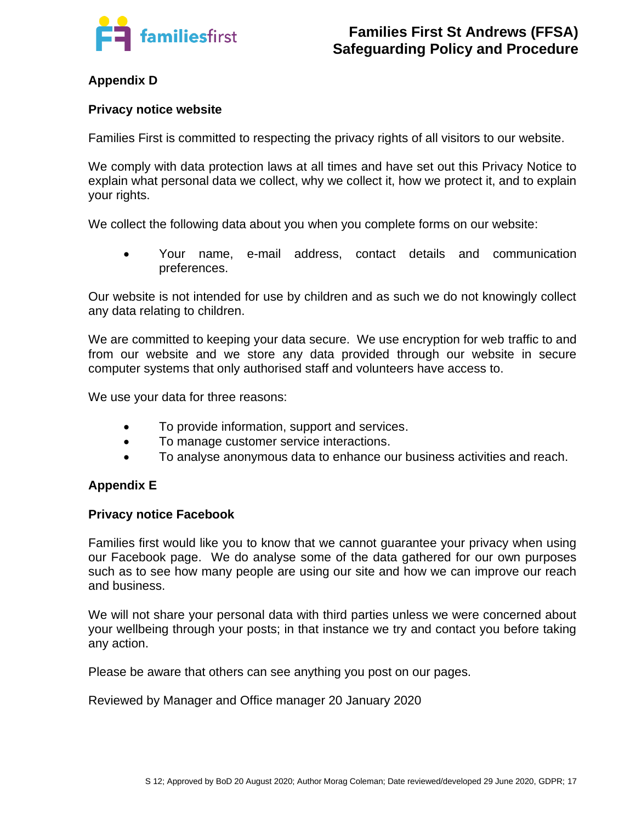

# **Appendix D**

#### **Privacy notice website**

Families First is committed to respecting the privacy rights of all visitors to our website.

We comply with data protection laws at all times and have set out this Privacy Notice to explain what personal data we collect, why we collect it, how we protect it, and to explain your rights.

We collect the following data about you when you complete forms on our website:

• Your name, e-mail address, contact details and communication preferences.

Our website is not intended for use by children and as such we do not knowingly collect any data relating to children.

We are committed to keeping your data secure. We use encryption for web traffic to and from our website and we store any data provided through our website in secure computer systems that only authorised staff and volunteers have access to.

We use your data for three reasons:

- To provide information, support and services.
- To manage customer service interactions.
- To analyse anonymous data to enhance our business activities and reach.

### **Appendix E**

#### **Privacy notice Facebook**

Families first would like you to know that we cannot guarantee your privacy when using our Facebook page. We do analyse some of the data gathered for our own purposes such as to see how many people are using our site and how we can improve our reach and business.

We will not share your personal data with third parties unless we were concerned about your wellbeing through your posts; in that instance we try and contact you before taking any action.

Please be aware that others can see anything you post on our pages.

Reviewed by Manager and Office manager 20 January 2020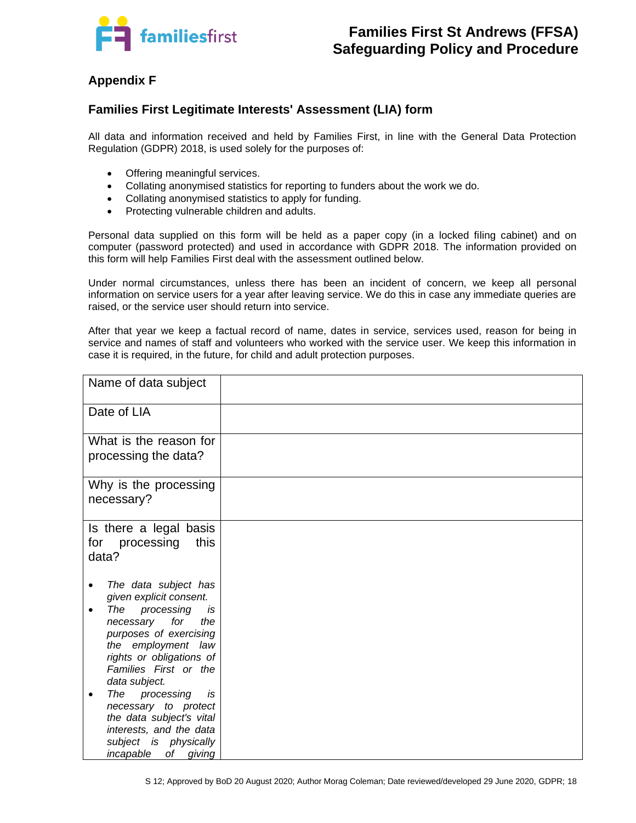

# **Appendix F**

#### **Families First Legitimate Interests' Assessment (LIA) form**

All data and information received and held by Families First, in line with the General Data Protection Regulation (GDPR) 2018, is used solely for the purposes of:

- Offering meaningful services.
- Collating anonymised statistics for reporting to funders about the work we do.
- Collating anonymised statistics to apply for funding.
- Protecting vulnerable children and adults.

Personal data supplied on this form will be held as a paper copy (in a locked filing cabinet) and on computer (password protected) and used in accordance with GDPR 2018. The information provided on this form will help Families First deal with the assessment outlined below.

Under normal circumstances, unless there has been an incident of concern, we keep all personal information on service users for a year after leaving service. We do this in case any immediate queries are raised, or the service user should return into service.

After that year we keep a factual record of name, dates in service, services used, reason for being in service and names of staff and volunteers who worked with the service user. We keep this information in case it is required, in the future, for child and adult protection purposes.

| Name of data subject                                                                                                                                                                                                                                                                                                                                                                     |  |
|------------------------------------------------------------------------------------------------------------------------------------------------------------------------------------------------------------------------------------------------------------------------------------------------------------------------------------------------------------------------------------------|--|
| Date of LIA                                                                                                                                                                                                                                                                                                                                                                              |  |
| What is the reason for<br>processing the data?                                                                                                                                                                                                                                                                                                                                           |  |
| Why is the processing<br>necessary?                                                                                                                                                                                                                                                                                                                                                      |  |
| Is there a legal basis<br>for processing<br>this<br>data?                                                                                                                                                                                                                                                                                                                                |  |
| The data subject has<br>given explicit consent.<br>processing<br>The<br>is<br>for<br>necessary<br>the<br>purposes of exercising<br>the employment law<br>rights or obligations of<br>Families First or the<br>data subject.<br>processing<br>The<br>is<br>necessary to protect<br>the data subject's vital<br>interests, and the data<br>subject is physically<br>incapable<br>of giving |  |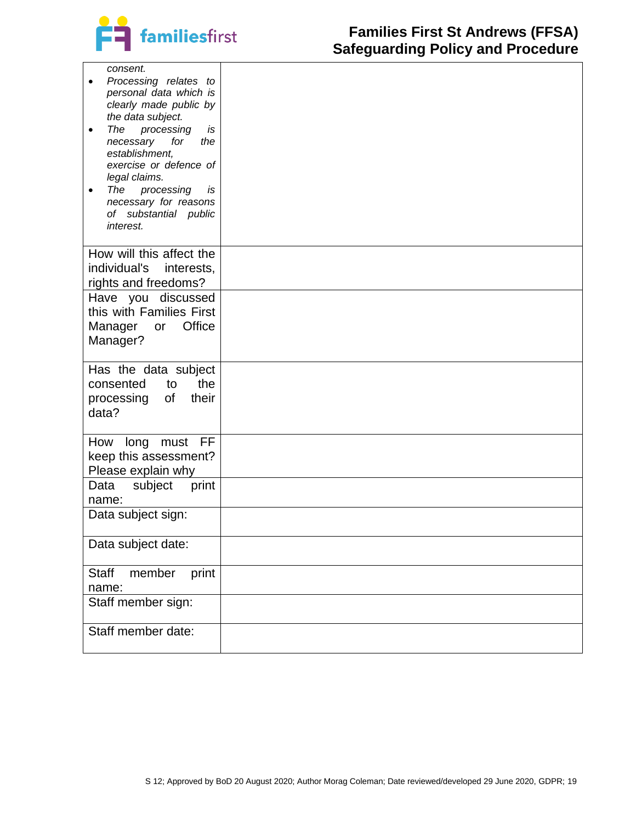

| consent.<br>Processing relates to<br>personal data which is<br>clearly made public by<br>the data subject.<br>The<br>processing<br>is<br>$\bullet$<br>necessary<br>for<br>the<br>establishment,<br>exercise or defence of<br>legal claims.<br>The<br>processing<br>is<br>$\bullet$<br>necessary for reasons<br>of substantial public<br>interest. |  |
|---------------------------------------------------------------------------------------------------------------------------------------------------------------------------------------------------------------------------------------------------------------------------------------------------------------------------------------------------|--|
| How will this affect the<br>individual's<br>interests,<br>rights and freedoms?                                                                                                                                                                                                                                                                    |  |
| Have you discussed<br>this with Families First<br>Office<br>Manager<br>or<br>Manager?                                                                                                                                                                                                                                                             |  |
| Has the data subject<br>consented<br>the<br>to<br>of<br>their<br>processing<br>data?                                                                                                                                                                                                                                                              |  |
| FF<br>How<br>long<br>must<br>keep this assessment?<br>Please explain why                                                                                                                                                                                                                                                                          |  |
| print<br>Data<br>subject<br>name:                                                                                                                                                                                                                                                                                                                 |  |
| Data subject sign:                                                                                                                                                                                                                                                                                                                                |  |
| Data subject date:                                                                                                                                                                                                                                                                                                                                |  |
| <b>Staff</b><br>print<br>member<br>name:                                                                                                                                                                                                                                                                                                          |  |
| Staff member sign:                                                                                                                                                                                                                                                                                                                                |  |
| Staff member date:                                                                                                                                                                                                                                                                                                                                |  |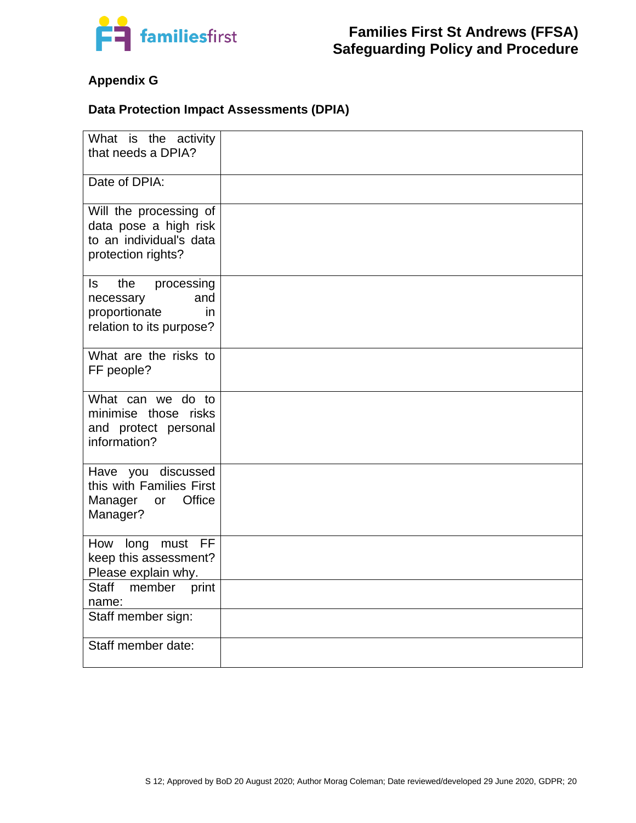

# **Appendix G**

#### **Data Protection Impact Assessments (DPIA)**

| What is the activity<br>that needs a DPIA?                                                       |  |
|--------------------------------------------------------------------------------------------------|--|
| Date of DPIA:                                                                                    |  |
| Will the processing of<br>data pose a high risk<br>to an individual's data<br>protection rights? |  |
| the<br>ls<br>processing<br>necessary<br>and<br>proportionate<br>in<br>relation to its purpose?   |  |
| What are the risks to<br>FF people?                                                              |  |
| What can we do to<br>minimise those risks<br>and protect personal<br>information?                |  |
| Have you discussed<br>this with Families First<br>Office<br>Manager<br>or<br>Manager?            |  |
| <b>FF</b><br>How long must<br>keep this assessment?<br>Please explain why.                       |  |
| <b>Staff</b><br>member<br>print<br>name:                                                         |  |
| Staff member sign:                                                                               |  |
| Staff member date:                                                                               |  |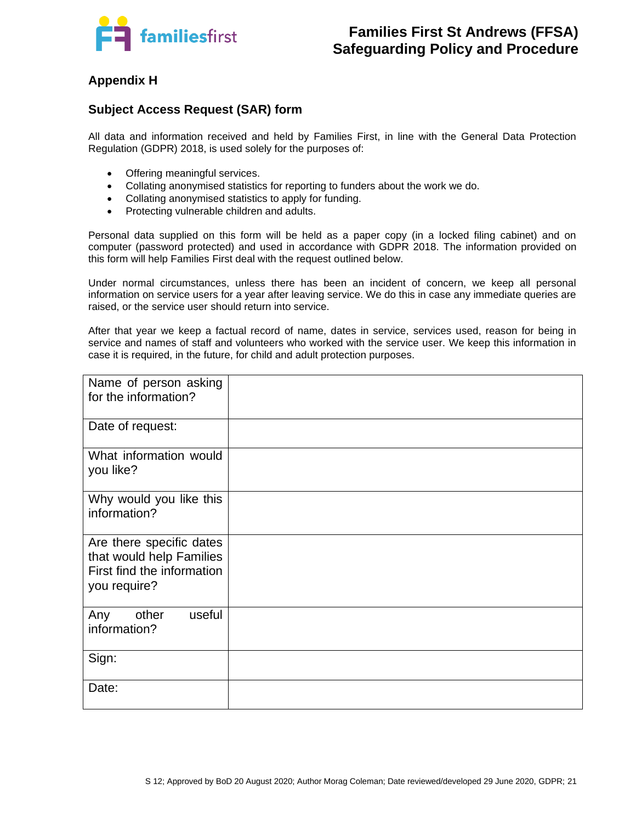

# **Appendix H**

#### **Subject Access Request (SAR) form**

All data and information received and held by Families First, in line with the General Data Protection Regulation (GDPR) 2018, is used solely for the purposes of:

- Offering meaningful services.
- Collating anonymised statistics for reporting to funders about the work we do.
- Collating anonymised statistics to apply for funding.
- Protecting vulnerable children and adults.

Personal data supplied on this form will be held as a paper copy (in a locked filing cabinet) and on computer (password protected) and used in accordance with GDPR 2018. The information provided on this form will help Families First deal with the request outlined below.

Under normal circumstances, unless there has been an incident of concern, we keep all personal information on service users for a year after leaving service. We do this in case any immediate queries are raised, or the service user should return into service.

After that year we keep a factual record of name, dates in service, services used, reason for being in service and names of staff and volunteers who worked with the service user. We keep this information in case it is required, in the future, for child and adult protection purposes.

| Name of person asking<br>for the information?<br>Date of request:                                  |  |
|----------------------------------------------------------------------------------------------------|--|
| What information would<br>you like?                                                                |  |
| Why would you like this<br>information?                                                            |  |
| Are there specific dates<br>that would help Families<br>First find the information<br>you require? |  |
| useful<br>other<br>Any<br>information?                                                             |  |
| Sign:                                                                                              |  |
| Date:                                                                                              |  |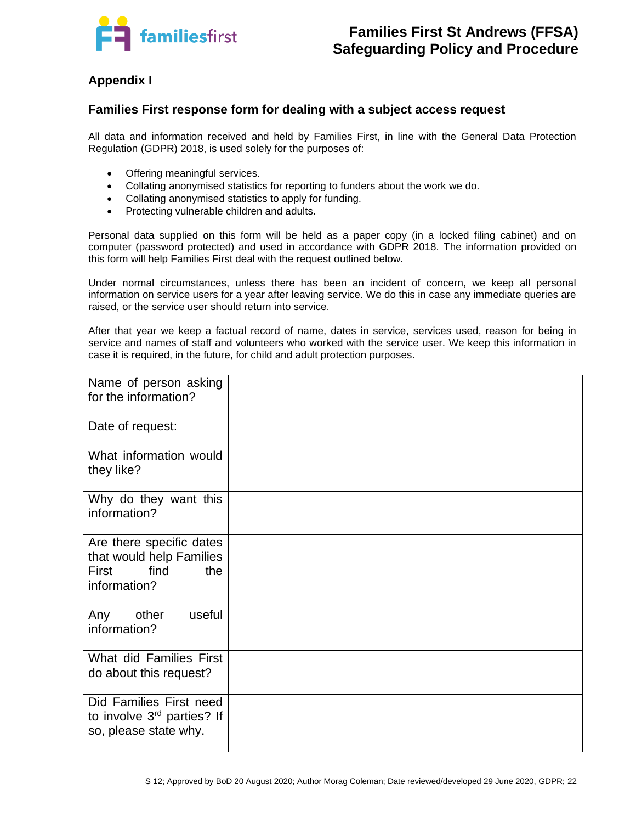

# **Appendix I**

#### **Families First response form for dealing with a subject access request**

All data and information received and held by Families First, in line with the General Data Protection Regulation (GDPR) 2018, is used solely for the purposes of:

- Offering meaningful services.
- Collating anonymised statistics for reporting to funders about the work we do.
- Collating anonymised statistics to apply for funding.
- Protecting vulnerable children and adults.

Personal data supplied on this form will be held as a paper copy (in a locked filing cabinet) and on computer (password protected) and used in accordance with GDPR 2018. The information provided on this form will help Families First deal with the request outlined below.

Under normal circumstances, unless there has been an incident of concern, we keep all personal information on service users for a year after leaving service. We do this in case any immediate queries are raised, or the service user should return into service.

After that year we keep a factual record of name, dates in service, services used, reason for being in service and names of staff and volunteers who worked with the service user. We keep this information in case it is required, in the future, for child and adult protection purposes.

| Name of person asking<br>for the information?                                                |  |
|----------------------------------------------------------------------------------------------|--|
| Date of request:                                                                             |  |
| What information would<br>they like?                                                         |  |
| Why do they want this<br>information?                                                        |  |
| Are there specific dates<br>that would help Families<br>find<br>First<br>the<br>information? |  |
| other<br>useful<br>Any<br>information?                                                       |  |
| What did Families First<br>do about this request?                                            |  |
| Did Families First need<br>to involve 3rd parties? If<br>so, please state why.               |  |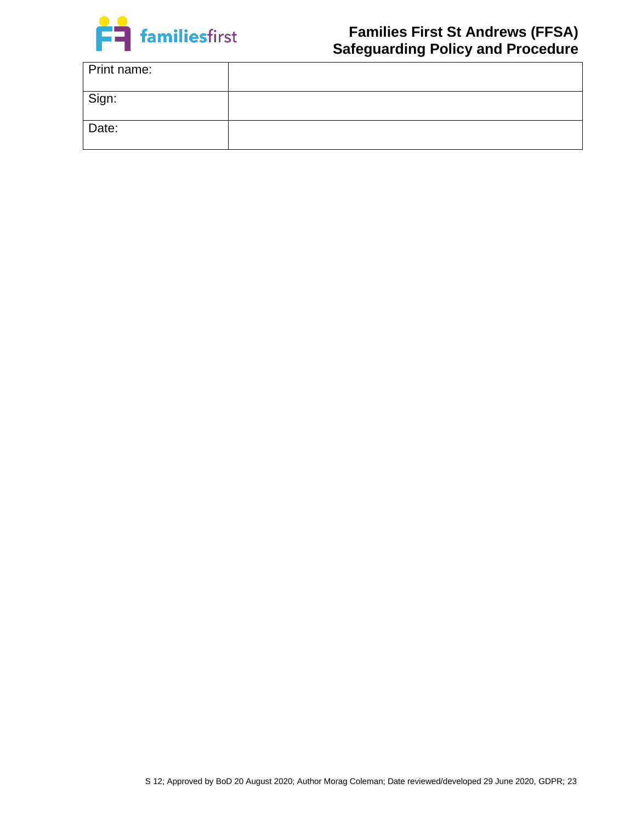

| Print name: |  |
|-------------|--|
| Sign:       |  |
| Date:       |  |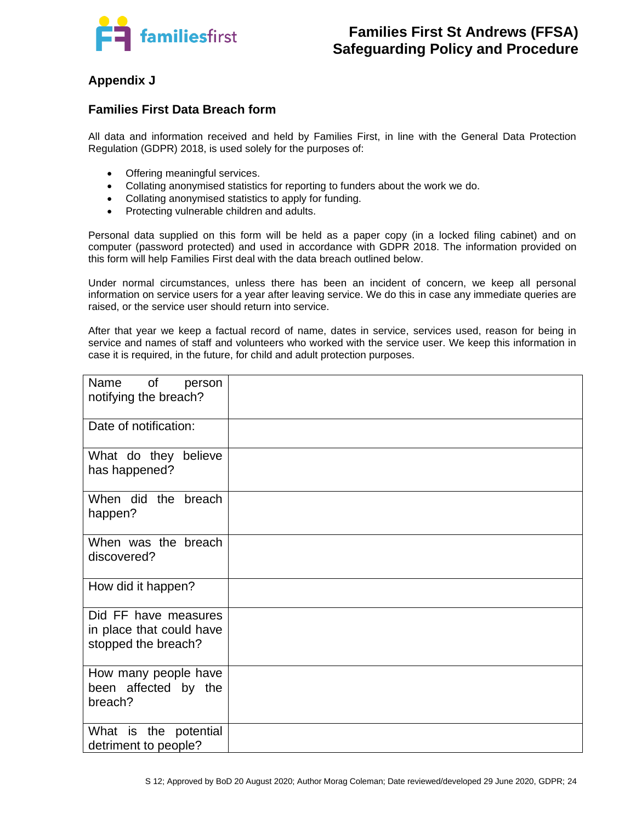

# **Appendix J**

#### **Families First Data Breach form**

All data and information received and held by Families First, in line with the General Data Protection Regulation (GDPR) 2018, is used solely for the purposes of:

- Offering meaningful services.
- Collating anonymised statistics for reporting to funders about the work we do.
- Collating anonymised statistics to apply for funding.
- Protecting vulnerable children and adults.

Personal data supplied on this form will be held as a paper copy (in a locked filing cabinet) and on computer (password protected) and used in accordance with GDPR 2018. The information provided on this form will help Families First deal with the data breach outlined below.

Under normal circumstances, unless there has been an incident of concern, we keep all personal information on service users for a year after leaving service. We do this in case any immediate queries are raised, or the service user should return into service.

After that year we keep a factual record of name, dates in service, services used, reason for being in service and names of staff and volunteers who worked with the service user. We keep this information in case it is required, in the future, for child and adult protection purposes.

| Name<br><b>of</b><br>person<br>notifying the breach?                    |  |
|-------------------------------------------------------------------------|--|
| Date of notification:                                                   |  |
| What do they believe<br>has happened?                                   |  |
| When did the breach<br>happen?                                          |  |
| When was the breach<br>discovered?                                      |  |
| How did it happen?                                                      |  |
| Did FF have measures<br>in place that could have<br>stopped the breach? |  |
| How many people have<br>been affected by the<br>breach?                 |  |
| What is the potential<br>detriment to people?                           |  |